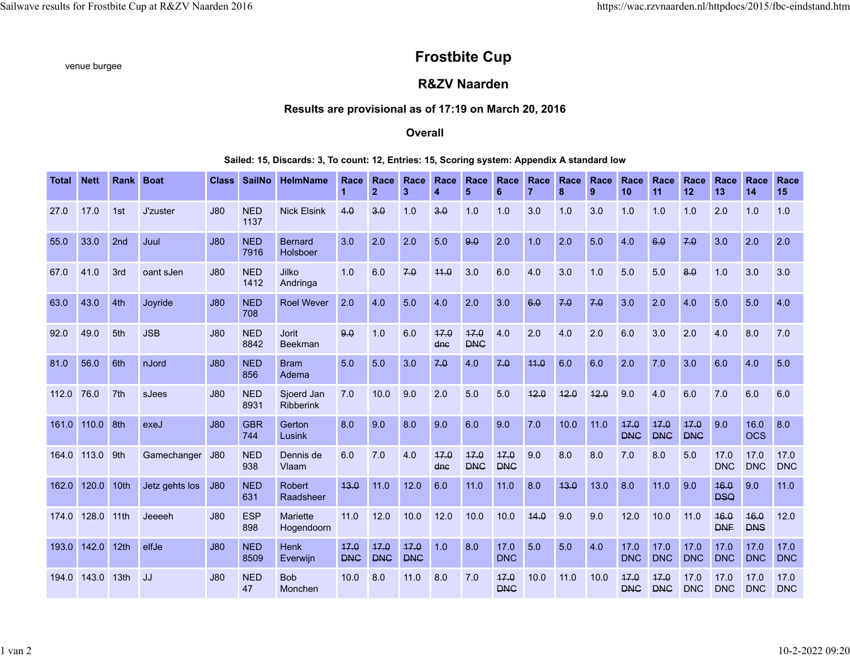# venue burgee **Frostbite Cup**

## **R&ZV Naarden**

## **Results are provisional as of 17:19 on March 20, 2016**

### **Overall**

#### **Sailed: 15, Discards: 3, To count: 12, Entries: 15, Scoring system: Appendix A standard low**

| Total | <b>Nett</b> | <b>Rank</b>      | <b>Boat</b>     | <b>Class</b> | <b>SailNo</b>      | <b>HelmName</b>            | Race<br>1          | Race<br>$\overline{2}$ | Race<br>3          | Race<br>$\overline{4}$ | Race<br>5          | Race<br>6          | Race | Race<br>8 | Race<br>9 | Race<br>10         | Race<br>11         | Race<br>12         | Race<br>13         | Race<br>14         | Race<br>15         |
|-------|-------------|------------------|-----------------|--------------|--------------------|----------------------------|--------------------|------------------------|--------------------|------------------------|--------------------|--------------------|------|-----------|-----------|--------------------|--------------------|--------------------|--------------------|--------------------|--------------------|
| 27.0  | 17.0        | 1st              | <b>J'zuster</b> | J80          | <b>NED</b><br>1137 | <b>Nick Elsink</b>         | 4.0                | 3.0                    | 1.0                | 3.0                    | 1.0                | 1.0                | 3.0  | 1.0       | 3.0       | 1.0                | 1.0                | 1.0                | 2.0                | 1.0                | 1.0                |
| 55.0  | 33.0        | 2nd              | Juul            | J80          | <b>NED</b><br>7916 | <b>Bernard</b><br>Holsboer | 3.0                | 2.0                    | 2.0                | 5.0                    | 9.0                | 2.0                | 1.0  | 2.0       | 5.0       | 4.0                | 6.0                | 7.0                | 3.0                | 2.0                | 2.0                |
| 67.0  | 41.0        | 3rd              | oant sJen       | J80          | <b>NED</b><br>1412 | Jilko<br>Andringa          | 1.0                | 6.0                    | 7.0                | 44.0                   | 3.0                | 6.0                | 4.0  | 3.0       | 1.0       | 5.0                | 5.0                | 8.0                | 1.0                | 3.0                | 3.0                |
| 63.0  | 43.0        | 4th              | Joyride         | J80          | <b>NED</b><br>708  | <b>Roel Wever</b>          | 2.0                | 4.0                    | 5.0                | 4.0                    | 2.0                | 3.0                | 6.0  | 7.0       | 7.0       | 3.0                | 2.0                | 4.0                | 5.0                | 5.0                | 4.0                |
| 92.0  | 49.0        | 5th              | <b>JSB</b>      | J80          | <b>NED</b><br>8842 | <b>Jorit</b><br>Beekman    | 9.0                | 1.0                    | 6.0                | 17.0<br>dnc            | 17.0<br><b>DNC</b> | 4.0                | 2.0  | 4.0       | 2.0       | 6.0                | 3.0                | 2.0                | 4.0                | 8.0                | 7.0                |
| 81.0  | 56.0        | 6th              | nJord           | J80          | <b>NED</b><br>856  | <b>Bram</b><br>Adema       | 5.0                | 5.0                    | 3.0                | 7.0                    | 4.0                | 7.0                | 44.0 | 6.0       | 6.0       | 2.0                | 7.0                | 3.0                | 6.0                | 4.0                | 5.0                |
| 112.0 | 76.0        | 7 <sup>th</sup>  | sJees           | <b>J80</b>   | <b>NED</b><br>8931 | Sjoerd Jan<br>Ribberink    | 7.0                | 10.0                   | 9.0                | 2.0                    | 5.0                | 5.0                | 12.0 | 12.0      | 12.0      | 9.0                | 4.0                | 6.0                | 7.0                | 6.0                | 6.0                |
| 161.0 | 110.0       | 8th              | exeJ            | J80          | <b>GBR</b><br>744  | Gerton<br>Lusink           | 8.0                | 9.0                    | 8.0                | 9.0                    | 6.0                | 9.0                | 7.0  | 10.0      | 11.0      | 47.0<br><b>DNC</b> | 17.0<br><b>DNC</b> | 17.0<br><b>DNC</b> | 9.0                | 16.0<br><b>OCS</b> | 8.0                |
| 164.0 | 113.0       | 9th              | Gamechanger     | J80          | <b>NED</b><br>938  | Dennis de<br>Vlaam         | 6.0                | 7.0                    | 4.0                | 17.0<br>dnc            | 17.0<br><b>DNC</b> | 17.0<br><b>DNC</b> | 9.0  | 8.0       | 8.0       | 7.0                | 8.0                | 5.0                | 17.0<br><b>DNC</b> | 17.0<br><b>DNC</b> | 17.0<br><b>DNC</b> |
| 162.0 | 120.0       | 10th             | Jetz gehts los  | J80          | <b>NED</b><br>631  | <b>Robert</b><br>Raadsheer | 13.0               | 11.0                   | 12.0               | 6.0                    | 11.0               | 11.0               | 8.0  | 13.0      | 13.0      | 8.0                | 11.0               | 9.0                | 16.0<br><b>DSQ</b> | 9.0                | 11.0               |
| 174.0 | 128.0       | 11th             | Jeeeeh          | .180         | <b>ESP</b><br>898  | Mariette<br>Hogendoorn     | 11.0               | 12.0                   | 10.0               | 12.0                   | 10.0               | 10.0               | 14.0 | 9.0       | 9.0       | 12.0               | 10.0               | 11.0               | 16.0<br><b>DNF</b> | 16.0<br><b>DNS</b> | 12.0               |
| 193.0 | 142.0       | 12th             | elfJe           | <b>J80</b>   | <b>NED</b><br>8509 | <b>Henk</b><br>Everwijn    | 17.0<br><b>DNC</b> | 17.0<br><b>DNC</b>     | 17.0<br><b>DNC</b> | 1.0                    | 8.0                | 17.0<br><b>DNC</b> | 5.0  | 5.0       | 4.0       | 17.0<br><b>DNC</b> | 17.0<br><b>DNC</b> | 17.0<br><b>DNC</b> | 17.0<br><b>DNC</b> | 17.0<br><b>DNC</b> | 17.0<br><b>DNC</b> |
| 194.0 | 143.0       | 13 <sub>th</sub> | JJ.             | <b>J80</b>   | <b>NED</b><br>47   | <b>Bob</b><br>Monchen      | 10.0               | 8.0                    | 11.0               | 8.0                    | 7.0                | 17.0<br><b>DNC</b> | 10.0 | 11.0      | 10.0      | 17.0<br><b>DNC</b> | 17.0<br><b>DNC</b> | 17.0<br><b>DNC</b> | 17.0<br><b>DNC</b> | 17.0<br><b>DNC</b> | 17.0<br><b>DNC</b> |